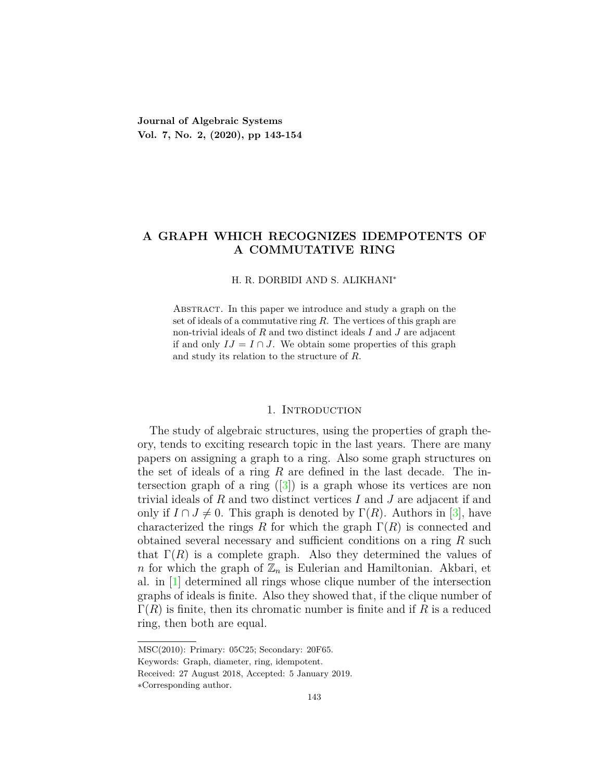# **A GRAPH WHICH RECOGNIZES IDEMPOTENTS OF A COMMUTATIVE RING**

#### H. R. DORBIDI AND S. ALIKHANI*<sup>∗</sup>*

Abstract. In this paper we introduce and study a graph on the set of ideals of a commutative ring *R*. The vertices of this graph are non-trivial ideals of *R* and two distinct ideals *I* and *J* are adjacent if and only  $IJ = I \cap J$ . We obtain some properties of this graph and study its relation to the structure of *R*.

### 1. INTRODUCTION

The study of algebraic structures, using the properties of graph theory, tends to exciting research topic in the last years. There are many papers on assigning a graph to a ring. Also some graph structures on the set of ideals of a ring *R* are defined in the last decade. The intersection graph of a ring  $(3)$  is a graph whose its vertices are non trivial ideals of *R* and two distinct vertices *I* and *J* are adjacent if and onlyif  $I \cap J \neq 0$ . This graph is denoted by  $\Gamma(R)$ . Authors in [[3\]](#page-11-0), have characterized the rings *R* for which the graph  $\Gamma(R)$  is connected and obtained several necessary and sufficient conditions on a ring *R* such that  $\Gamma(R)$  is a complete graph. Also they determined the values of *n* for which the graph of  $\mathbb{Z}_n$  is Eulerian and Hamiltonian. Akbari, et al. in [[1](#page-11-1)] determined all rings whose clique number of the intersection graphs of ideals is finite. Also they showed that, if the clique number of  $\Gamma(R)$  is finite, then its chromatic number is finite and if R is a reduced ring, then both are equal.

MSC(2010): Primary: 05C25; Secondary: 20F65.

Keywords: Graph, diameter, ring, idempotent.

Received: 27 August 2018, Accepted: 5 January 2019.

*<sup>∗</sup>*Corresponding author.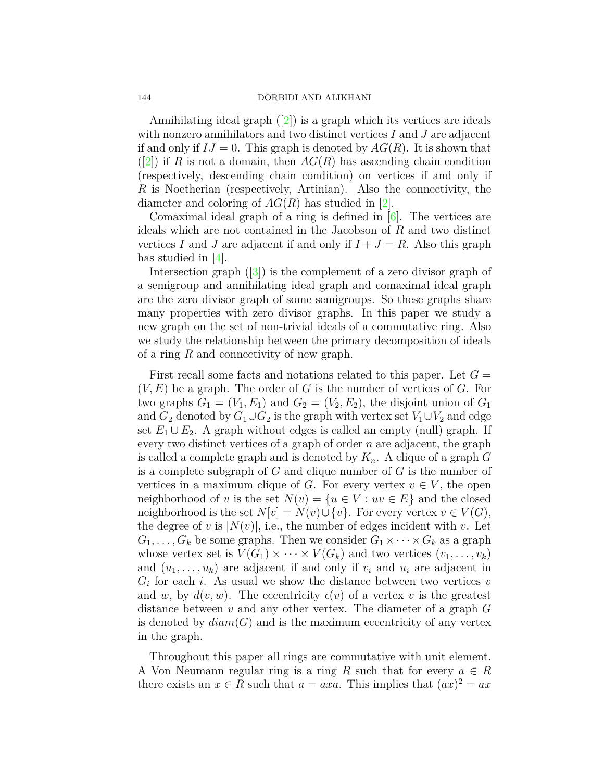### 144 DORBIDI AND ALIKHANI

Annihilating ideal graph  $([2])$  $([2])$  $([2])$  is a graph which its vertices are ideals with nonzero annihilators and two distinct vertices *I* and *J* are adjacent if and only if  $IJ = 0$ . This graph is denoted by  $AG(R)$ . It is shown that  $([2])$  $([2])$  $([2])$  if *R* is not a domain, then  $AG(R)$  has ascending chain condition (respectively, descending chain condition) on vertices if and only if *R* is Noetherian (respectively, Artinian). Also the connectivity, the diameter and coloring of *AG*(*R*) has studied in [\[2](#page-11-2)].

Comaximal ideal graph of a ring is defined in [[6\]](#page-11-3). The vertices are ideals which are not contained in the Jacobson of *R* and two distinct vertices *I* and *J* are adjacent if and only if  $I + J = R$ . Also this graph has studied in  $|4|$ .

Intersection graph ([[3\]](#page-11-0)) is the complement of a zero divisor graph of a semigroup and annihilating ideal graph and comaximal ideal graph are the zero divisor graph of some semigroups. So these graphs share many properties with zero divisor graphs. In this paper we study a new graph on the set of non-trivial ideals of a commutative ring. Also we study the relationship between the primary decomposition of ideals of a ring *R* and connectivity of new graph.

First recall some facts and notations related to this paper. Let  $G =$ (*V, E*) be a graph. The order of *G* is the number of vertices of *G*. For two graphs  $G_1 = (V_1, E_1)$  and  $G_2 = (V_2, E_2)$ , the disjoint union of  $G_1$ and  $G_2$  denoted by  $G_1 \cup G_2$  is the graph with vertex set  $V_1 \cup V_2$  and edge set  $E_1 \cup E_2$ . A graph without edges is called an empty (null) graph. If every two distinct vertices of a graph of order *n* are adjacent, the graph is called a complete graph and is denoted by *Kn*. A clique of a graph *G* is a complete subgraph of *G* and clique number of *G* is the number of vertices in a maximum clique of *G*. For every vertex  $v \in V$ , the open neighborhood of *v* is the set  $N(v) = \{u \in V : uv \in E\}$  and the closed neighborhood is the set  $N[v] = N(v) \cup \{v\}$ . For every vertex  $v \in V(G)$ , the degree of *v* is  $|N(v)|$ , i.e., the number of edges incident with *v*. Let  $G_1, \ldots, G_k$  be some graphs. Then we consider  $G_1 \times \cdots \times G_k$  as a graph whose vertex set is  $V(G_1) \times \cdots \times V(G_k)$  and two vertices  $(v_1, \ldots, v_k)$ and  $(u_1, \ldots, u_k)$  are adjacent if and only if  $v_i$  and  $u_i$  are adjacent in  $G_i$  for each *i*. As usual we show the distance between two vertices  $v$ and *w*, by  $d(v, w)$ . The eccentricity  $\epsilon(v)$  of a vertex *v* is the greatest distance between *v* and any other vertex. The diameter of a graph *G* is denoted by  $diam(G)$  and is the maximum eccentricity of any vertex in the graph.

Throughout this paper all rings are commutative with unit element. A Von Neumann regular ring is a ring *R* such that for every *a ∈ R* there exists an  $x \in R$  such that  $a = axa$ . This implies that  $(ax)^2 = ax$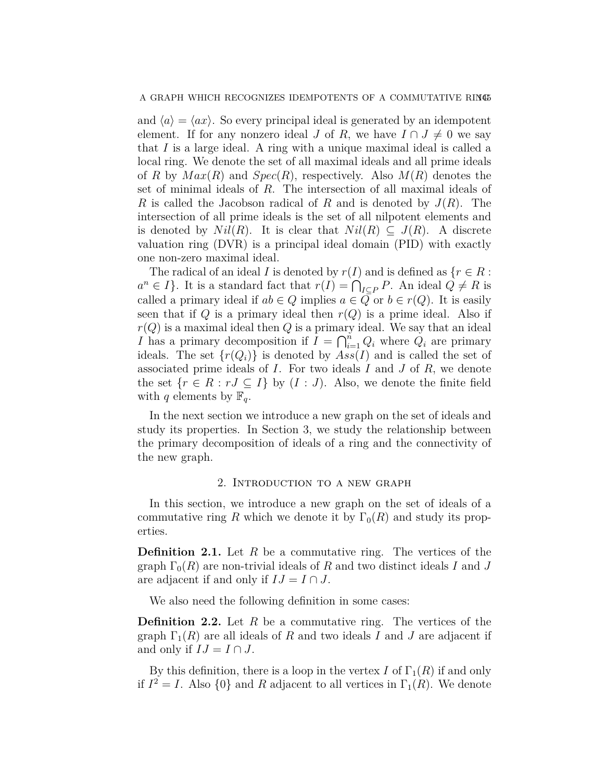and  $\langle a \rangle = \langle ax \rangle$ . So every principal ideal is generated by an idempotent element. If for any nonzero ideal *J* of *R*, we have  $I \cap J \neq 0$  we say that *I* is a large ideal. A ring with a unique maximal ideal is called a local ring. We denote the set of all maximal ideals and all prime ideals of R by  $Max(R)$  and  $Spec(R)$ , respectively. Also  $M(R)$  denotes the set of minimal ideals of *R*. The intersection of all maximal ideals of *R* is called the Jacobson radical of *R* and is denoted by *J*(*R*). The intersection of all prime ideals is the set of all nilpotent elements and is denoted by  $Nil(R)$ . It is clear that  $Nil(R) \subseteq J(R)$ . A discrete valuation ring (DVR) is a principal ideal domain (PID) with exactly one non-zero maximal ideal.

The radical of an ideal *I* is denoted by  $r(I)$  and is defined as  $\{r \in R$ :  $a^n \in I$ <sup>}</sup>. It is a standard fact that  $r(I) = \bigcap_{I \subseteq P} P$ . An ideal  $Q \neq R$  is called a primary ideal if  $ab \in Q$  implies  $a \in Q$  or  $b \in r(Q)$ . It is easily seen that if  $Q$  is a primary ideal then  $r(Q)$  is a prime ideal. Also if  $r(Q)$  is a maximal ideal then  $Q$  is a primary ideal. We say that an ideal *I* has a primary decomposition if  $\overline{I} = \bigcap_{i=1}^{n} Q_i$  where  $\overline{Q}_i$  are primary ideals. The set  $\{r(Q_i)\}\$ is denoted by  $Ass(I)$  and is called the set of associated prime ideals of *I*. For two ideals *I* and *J* of *R*, we denote the set  $\{r \in R : rJ \subseteq I\}$  by  $(I : J)$ . Also, we denote the finite field with *q* elements by  $\mathbb{F}_q$ .

In the next section we introduce a new graph on the set of ideals and study its properties. In Section 3, we study the relationship between the primary decomposition of ideals of a ring and the connectivity of the new graph.

### 2. Introduction to a new graph

In this section, we introduce a new graph on the set of ideals of a commutative ring *R* which we denote it by  $\Gamma_0(R)$  and study its properties.

**Definition 2.1.** Let R be a commutative ring. The vertices of the graph  $\Gamma_0(R)$  are non-trivial ideals of R and two distinct ideals I and J are adjacent if and only if  $IJ = I \cap J$ .

We also need the following definition in some cases:

**Definition 2.2.** Let R be a commutative ring. The vertices of the graph  $\Gamma_1(R)$  are all ideals of R and two ideals I and J are adjacent if and only if  $IJ = I \cap J$ .

By this definition, there is a loop in the vertex *I* of  $\Gamma_1(R)$  if and only if  $I^2 = I$ . Also  $\{0\}$  and *R* adjacent to all vertices in  $\Gamma_1(R)$ . We denote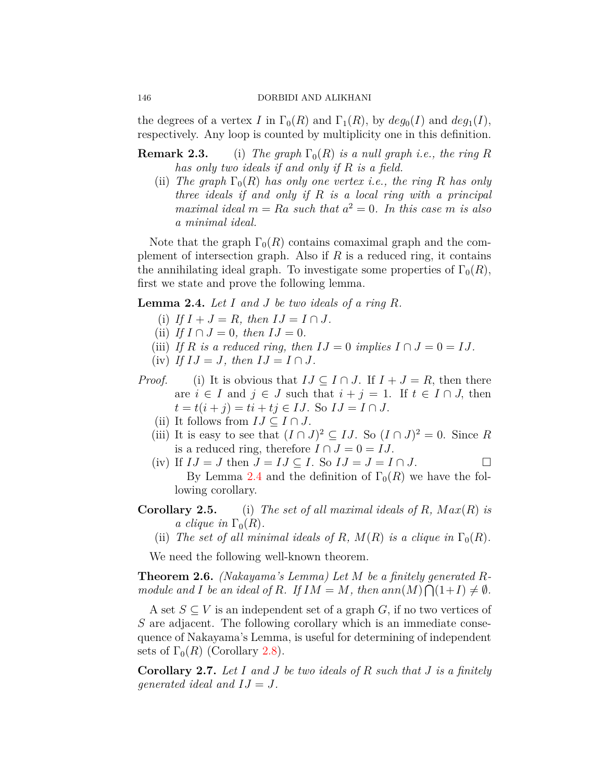### 146 DORBIDI AND ALIKHANI

the degrees of a vertex *I* in  $\Gamma_0(R)$  and  $\Gamma_1(R)$ , by  $deg_0(I)$  and  $deg_1(I)$ , respectively. Any loop is counted by multiplicity one in this definition.

- **Remark 2.3.** (i) The graph  $\Gamma_0(R)$  is a null graph i.e., the ring R *has only two ideals if and only if R is a field.*
	- (ii) *The graph*  $\Gamma_0(R)$  *has only one vertex i.e., the ring R has only three ideals if and only if R is a local ring with a principal maximal ideal*  $m = Ra$  *such that*  $a^2 = 0$ *. In this case m is also a minimal ideal.*

Note that the graph  $\Gamma_0(R)$  contains comaximal graph and the complement of intersection graph. Also if *R* is a reduced ring, it contains the annihilating ideal graph. To investigate some properties of  $\Gamma_0(R)$ , first we state and prove the following lemma.

<span id="page-3-0"></span>**Lemma 2.4.** *Let I and J be two ideals of a ring R.*

- (i) If  $I + J = R$ *, then*  $IJ = I \cap J$ *.*
- (ii) *If*  $I \cap J = 0$ *, then*  $IJ = 0$ .
- (iii) *If R* is a reduced ring, then  $IJ = 0$  implies  $I \cap J = 0 = IJ$ .
- $(i\mathbf{v})$  *If*  $IJ = J$ *, then*  $IJ = I \cap J$ *.*
- *Proof.* (i) It is obvious that  $IJ \subseteq I \cap J$ . If  $I + J = R$ , then there are  $i \in I$  and  $j \in J$  such that  $i + j = 1$ . If  $t \in I \cap J$ , then  $t = t(i + j) = ti + tj \in IJ$ . So  $IJ = I \cap J$ .
	- (ii) It follows from  $IJ \subseteq I \cap J$ .
	- (iii) It is easy to see that  $(I \cap J)^2 \subseteq IJ$ . So  $(I \cap J)^2 = 0$ . Since R is a reduced ring, therefore  $I \cap J = 0 = IJ$ .
	- (iv) If  $IJ = J$  then  $J = IJ \subseteq I$ . So  $IJ = J = I \cap J$ . By Lemma [2.4](#page-3-0) and the definition of  $\Gamma_0(R)$  we have the following corollary.
- **Corollary 2.5.** (i) The set of all maximal ideals of  $R$ ,  $Max(R)$  is *a clique in*  $\Gamma_0(R)$ .
	- (ii) The set of all minimal ideals of  $R$ ,  $M(R)$  is a clique in  $\Gamma_0(R)$ .

We need the following well-known theorem.

<span id="page-3-2"></span>**Theorem 2.6.** *(Nakayama's Lemma) Let M be a finitely generated Rmodule and I be an ideal of R.* If  $IM = M$ *, then*  $ann(M) \bigcap (1+I) \neq \emptyset$ *.* 

A set  $S \subseteq V$  is an independent set of a graph  $G$ , if no two vertices of *S* are adjacent. The following corollary which is an immediate consequence of Nakayama's Lemma, is useful for determining of independent sets of  $\Gamma_0(R)$  (Corollary 2.8).

<span id="page-3-1"></span>**Corollary 2.7.** *Let I and J be two ideals of R such that J is a finitely generated ideal and*  $IJ = J$ .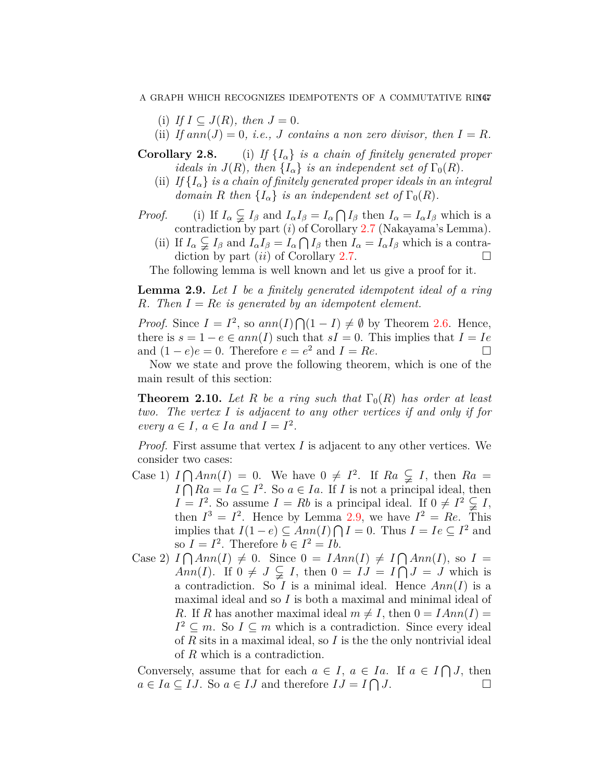### A GRAPH WHICH RECOGNIZES IDEMPOTENTS OF A COMMUTATIVE RING7

- (i) If  $I \subseteq J(R)$ , then  $J=0$ .
- (ii) If  $ann(J) = 0$ , *i.e.*, *J* contains a non zero divisor, then  $I = R$ .
- **Corollary 2.8.** (i) *If*  $\{I_{\alpha}\}\$ is a chain of finitely generated proper *ideals in*  $J(R)$ *, then*  $\{I_{\alpha}\}\$  *is an independent set of*  $\Gamma_0(R)$ *.* 
	- (ii) *If*  $\{I_{\alpha}\}\$ is a chain of finitely generated proper ideals in an integral *domain R then*  $\{I_{\alpha}\}\$  *is an independent set of*  $\Gamma_0(R)$ *.*
- *Proof.* (i) If  $I_\alpha \subsetneq I_\beta$  and  $I_\alpha I_\beta = I_\alpha \cap I_\beta$  then  $I_\alpha = I_\alpha I_\beta$  which is a contradiction by part (*i*) of Corollary [2.7](#page-3-1) (Nakayama's Lemma).
	- (ii) If  $I_\alpha \subsetneq I_\beta$  and  $I_\alpha I_\beta = I_\alpha \cap I_\beta$  then  $I_\alpha = I_\alpha I_\beta$  which is a contradiction by part  $(ii)$  of Corollary [2.7.](#page-3-1)  $\Box$

The following lemma is well known and let us give a proof for it.

<span id="page-4-0"></span>**Lemma 2.9.** *Let I be a finitely generated idempotent ideal of a ring R. Then I* = *Re is generated by an idempotent element.*

*Proof.* Since  $I = I^2$ , so  $ann(I) \bigcap (1 - I) \neq \emptyset$  by Theorem [2.6](#page-3-2). Hence, there is  $s = 1 - e \in ann(I)$  such that  $sI = 0$ . This implies that  $I = Ie$ and  $(1 - e)e = 0$ . Therefore  $e = e^2$  and  $I = Re$ .

Now we state and prove the following theorem, which is one of the main result of this section:

<span id="page-4-1"></span>**Theorem 2.10.** *Let R be a ring such that*  $\Gamma_0(R)$  *has order at least two. The vertex I is adjacent to any other vertices if and only if for every*  $a \in I$ ,  $a \in I$  *a and*  $I = I^2$ .

*Proof.* First assume that vertex *I* is adjacent to any other vertices. We consider two cases:

- Case 1)  $I \bigcap Ann(I) = 0$ . We have  $0 \neq I^2$ . If  $Ra \subsetneq I$ , then  $Ra =$  $I \cap Ra = Ia \subseteq I^2$ . So  $a \in Ia$ . If *I* is not a principal ideal, then  $I = I^2$ . So assume  $I = Rb$  is a principal ideal. If  $0 \neq I^2 \subsetneq I$ , then  $I^3 = I^2$ . Hence by Lemma [2.9](#page-4-0), we have  $I^2 = Re$ . This implies that  $I(1 - e) \subseteq Ann(I) \cap I = 0$ . Thus  $I = Ie ⊆ I<sup>2</sup>$  and so  $I = I^2$ . Therefore  $b \in I^2 = Ib$ .
- Case 2)  $I \bigcap Ann(I) \neq 0$ . Since  $0 = \text{IAnn}(I) \neq I \bigcap Ann(I)$ , so  $I =$ *Ann*(*I*). If  $0 \neq J \subsetneq I$ , then  $0 = IJ = I \cap J = J$  which is a contradiction. So *I* is a minimal ideal. Hence  $Ann(I)$  is a maximal ideal and so *I* is both a maximal and minimal ideal of *R*. If *R* has another maximal ideal  $m \neq I$ , then  $0 = \text{I}Ann(I)$ *I*<sup>2</sup>  $\subseteq$  *m*. So *I*  $\subseteq$  *m* which is a contradiction. Since every ideal of *R* sits in a maximal ideal, so *I* is the the only nontrivial ideal of *R* which is a contradiction.

Conversely, assume that for each  $a \in I$ ,  $a \in I$  *a*. If  $a \in I \cap J$ , then  $a \in I_a \subseteq IJ$ . So  $a \in IJ$  and therefore  $IJ = I \cap I$ *J*. □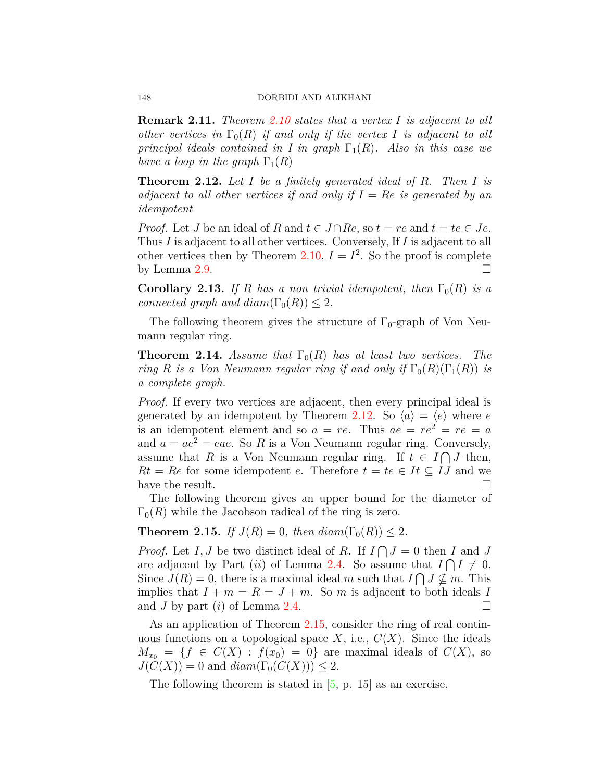**Remark 2.11.** *Theorem [2.10](#page-4-1) states that a vertex I is adjacent to all other vertices in*  $\Gamma_0(R)$  *if and only if the vertex I is adjacent to all principal ideals contained in I in graph*  $\Gamma_1(R)$ *. Also in this case we have a loop in the graph*  $\Gamma_1(R)$ 

<span id="page-5-0"></span>**Theorem 2.12.** *Let I be a finitely generated ideal of R. Then I is adjacent to all other vertices if and only if*  $I = Re$  *is generated by an idempotent*

*Proof.* Let *J* be an ideal of *R* and  $t \in J \cap Re$ , so  $t = re$  and  $t = te \in Je$ . Thus *I* is adjacent to all other vertices. Conversely, If *I* is adjacent to all other vertices then by Theorem [2.10,](#page-4-1)  $I = I^2$ . So the proof is complete by Lemma [2.9.](#page-4-0)  $\Box$ 

<span id="page-5-2"></span>**Corollary 2.13.** *If R has a non trivial idempotent, then*  $\Gamma_0(R)$  *is a connected graph and*  $diam(\Gamma_0(R)) \leq 2$ *.* 

The following theorem gives the structure of  $\Gamma_0$ -graph of Von Neumann regular ring.

**Theorem 2.14.** *Assume that*  $\Gamma_0(R)$  *has at least two vertices. The ring R is a Von Neumann regular ring if and only if*  $\Gamma_0(R)(\Gamma_1(R))$  *is a complete graph.*

*Proof.* If every two vertices are adjacent, then every principal ideal is generated by an idempotent by Theorem [2.12.](#page-5-0) So  $\langle a \rangle = \langle e \rangle$  where *e* is an idempotent element and so  $a = re$ . Thus  $ae = re^2 = re = a$ and  $a = ae^2 = eae$ . So R is a Von Neumann regular ring. Conversely, assume that *R* is a Von Neumann regular ring. If  $t \in I \cap J$  then,  $Rt = Re$  for some idempotent *e*. Therefore  $t = te \in It \subseteq IJ$  and we have the result.  $\Box$ 

The following theorem gives an upper bound for the diameter of  $\Gamma_0(R)$  while the Jacobson radical of the ring is zero.

<span id="page-5-1"></span>**Theorem 2.15.** *If*  $J(R) = 0$ *, then*  $diam(\Gamma_0(R)) \leq 2$ *.* 

*Proof.* Let *I*, *J* be two distinct ideal of *R*. If  $I \cap J = 0$  then *I* and *J* are adjacent by Part (*ii*) of Lemma [2.4.](#page-3-0) So assume that  $I \bigcap I \neq 0$ . Since  $J(R) = 0$ , there is a maximal ideal *m* such that  $I \cap J \nsubseteq m$ . This implies that  $I + m = R = J + m$ . So *m* is adjacent to both ideals *I* and *J* by part (*i*) of Lemma [2.4](#page-3-0).

As an application of Theorem [2.15](#page-5-1), consider the ring of real continuous functions on a topological space  $X$ , i.e.,  $C(X)$ . Since the ideals  $M_{x_0} = \{ f \in C(X) : f(x_0) = 0 \}$  are maximal ideals of  $C(X)$ , so  $J(C(X)) = 0$  and  $diam(\Gamma_0(C(X))) \leq 2$ .

The following theorem is stated in [\[5](#page-11-5), p. 15] as an exercise.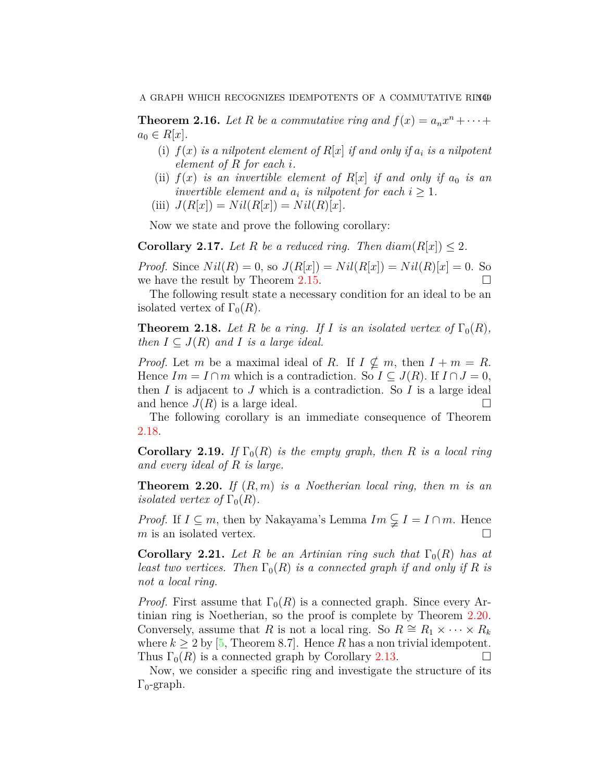**Theorem 2.16.** Let R be a commutative ring and  $f(x) = a_n x^n + \cdots$  $a_0 \in R[x]$ *.* 

- (i)  $f(x)$  *is a nilpotent element of*  $R[x]$  *if and only if*  $a_i$  *is a nilpotent element of R for each i.*
- (ii)  $f(x)$  *is an invertible element of*  $R[x]$  *if and only if*  $a_0$  *is an invertible element and*  $a_i$  *is nilpotent for each*  $i \geq 1$ *.*
- $J(R[x]) = Nil(R[x]) = Nil(R[x])$ .

Now we state and prove the following corollary:

**Corollary 2.17.** Let R be a reduced ring. Then  $diam(R[x]) \leq 2$ .

*Proof.* Since  $Nil(R) = 0$ , so  $J(R[x]) = Nil(R[x]) = Nil(R)[x] = 0$ . So we have the result by Theorem [2.15.](#page-5-1)  $\Box$ 

The following result state a necessary condition for an ideal to be an isolated vertex of  $\Gamma_0(R)$ .

<span id="page-6-0"></span>**Theorem 2.18.** *Let R be a ring. If I is an isolated vertex of*  $\Gamma_0(R)$ *, then*  $I \subseteq J(R)$  *and*  $I$  *is a large ideal.* 

*Proof.* Let *m* be a maximal ideal of *R*. If  $I \nsubseteq m$ , then  $I + m = R$ . Hence  $Im = I \cap m$  which is a contradiction. So  $I \subseteq J(R)$ . If  $I \cap J = 0$ , then  $I$  is adjacent to  $J$  which is a contradiction. So  $I$  is a large ideal and hence  $J(R)$  is a large ideal.

The following corollary is an immediate consequence of Theorem [2.18](#page-6-0).

**Corollary 2.19.** *If*  $\Gamma_0(R)$  *is the empty graph, then R is a local ring and every ideal of R is large.*

<span id="page-6-1"></span>**Theorem 2.20.** *If* (*R, m*) *is a Noetherian local ring, then m is an isolated vertex of*  $\Gamma_0(R)$ *.* 

*Proof.* If  $I \subseteq m$ , then by Nakayama's Lemma  $Im \subsetneq I = I \cap m$ . Hence  $m$  is an isolated vertex.  $\Box$ 

**Corollary 2.21.** Let R be an Artinian ring such that  $\Gamma_0(R)$  has at *least two vertices. Then*  $\Gamma_0(R)$  *is a connected graph if and only if* R *is not a local ring.*

*Proof.* First assume that  $\Gamma_0(R)$  is a connected graph. Since every Artinian ring is Noetherian, so the proof is complete by Theorem [2.20.](#page-6-1) Conversely, assume that *R* is not a local ring. So  $R \cong R_1 \times \cdots \times R_k$ where  $k \geq 2$  by [[5](#page-11-5), Theorem 8.7]. Hence R has a non trivial idempotent. Thus  $\Gamma_0(R)$  is a connected graph by Corollary [2.13](#page-5-2). □

Now, we consider a specific ring and investigate the structure of its  $\Gamma_0$ -graph.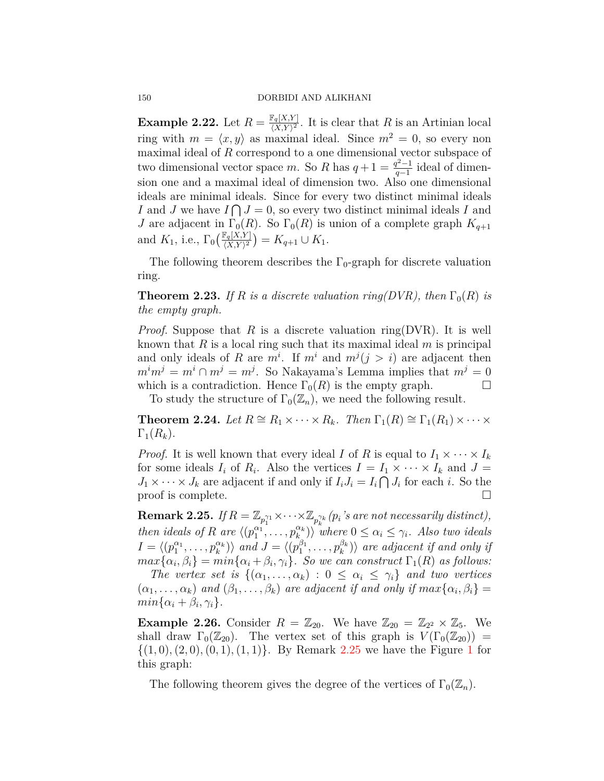**Example 2.22.** Let  $R = \frac{\mathbb{F}_q[X,Y]}{\langle XY \rangle^2}$  $\frac{\binom{r_q(X,Y)}{(X,Y)^2}}{k!}$ . It is clear that *R* is an Artinian local ring with  $m = \langle x, y \rangle$  as maximal ideal. Since  $m^2 = 0$ , so every non maximal ideal of *R* correspond to a one dimensional vector subspace of two dimensional vector space *m*. So *R* has  $q + 1 = \frac{q^2 - 1}{q - 1}$  $\frac{q^{2}-1}{q-1}$  ideal of dimension one and a maximal ideal of dimension two. Also one dimensional ideals are minimal ideals. Since for every two distinct minimal ideals *I* and *J* we have  $I \cap J = 0$ , so every two distinct minimal ideals *I* and *J* are adjacent in  $\Gamma_0(R)$ . So  $\Gamma_0(R)$  is union of a complete graph  $K_{q+1}$ and  $K_1$ , i.e.,  $\Gamma_0\left(\frac{\mathbb{F}_q[X,Y]}{\langle XY \rangle^2}\right)$  $\frac{\mathbb{F}_q[X,Y]}{\langle X,Y\rangle^2}$  =  $K_{q+1}\cup K_1$ .

The following theorem describes the  $\Gamma_0$ -graph for discrete valuation ring.

**Theorem 2.23.** *If R is a discrete valuation ring(DVR), then*  $\Gamma_0(R)$  *is the empty graph.*

*Proof.* Suppose that *R* is a discrete valuation ring(DVR). It is well known that *R* is a local ring such that its maximal ideal *m* is principal and only ideals of *R* are  $m^i$ . If  $m^i$  and  $m^j$  (*j > i*) are adjacent then  $m<sup>i</sup>m<sup>j</sup> = m<sup>i</sup> \cap m<sup>j</sup> = m<sup>j</sup>$ . So Nakayama's Lemma implies that  $m<sup>j</sup> = 0$ which is a contradiction. Hence  $\Gamma_0(R)$  is the empty graph.  $\Box$ To study the structure of  $\Gamma_0(\mathbb{Z}_n)$ , we need the following result.

**Theorem 2.24.** *Let*  $R \cong R_1 \times \cdots \times R_k$ *. Then*  $\Gamma_1(R) \cong \Gamma_1(R_1) \times \cdots \times \Gamma_k$  $\Gamma_1(R_k)$ .

*Proof.* It is well known that every ideal *I* of *R* is equal to  $I_1 \times \cdots \times I_k$ for some ideals  $I_i$  of  $R_i$ . Also the vertices  $I = I_1 \times \cdots \times I_k$  and  $J =$  $J_1 \times \cdots \times J_k$  are adjacent if and only if  $I_i J_i = I_i \cap J_i$  for each *i*. So the proof is complete.  $\Box$ 

<span id="page-7-0"></span> ${\bf Remark~2.25.}$  *If*  $R=\mathbb{Z}_{p_{1}^{\gamma_{1}}}\times\cdots\times\mathbb{Z}_{p_{k}^{\gamma_{k}}}(p_{i}$  's are not necessarily distinct), then ideals of R are  $\langle (p_1^{\alpha_1}, \ldots, p_k^{\alpha_k}) \rangle$  where  $0 \leq \alpha_i \leq \gamma_i$ . Also two ideals  $I = \langle (p_1^{\alpha_1}, \ldots, p_k^{\alpha_k}) \rangle$  *and*  $J = \langle (p_1^{\beta_1}, \ldots, p_k^{\beta_k}) \rangle$  $\binom{\beta_k}{k}$  *are adjacent if and only if*  $max\{\alpha_i, \beta_i\} = min\{\alpha_i + \beta_i, \gamma_i\}$ . So we can construct  $\Gamma_1(R)$  as follows:

*The vertex set is*  $\{(\alpha_1, \ldots, \alpha_k) : 0 \leq \alpha_i \leq \gamma_i\}$  *and two vertices*  $(\alpha_1, \ldots, \alpha_k)$  and  $(\beta_1, \ldots, \beta_k)$  are adjacent if and only if  $max\{\alpha_i, \beta_i\} =$ *min* $\{\alpha_i + \beta_i, \gamma_i\}.$ 

**Example 2.26.** Consider  $R = \mathbb{Z}_{20}$ . We have  $\mathbb{Z}_{20} = \mathbb{Z}_{2^2} \times \mathbb{Z}_5$ . We shall draw  $\Gamma_0(\mathbb{Z}_{20})$ . The vertex set of this graph is  $V(\Gamma_0(\mathbb{Z}_{20}))$  = *{*(1*,* 0)*,*(2*,* 0)*,*(0*,* 1)*,*(1*,* 1)*}*. By Remark [2.25](#page-7-0) we have the Figure [1](#page-8-0) for this graph:

The following theorem gives the degree of the vertices of  $\Gamma_0(\mathbb{Z}_n)$ .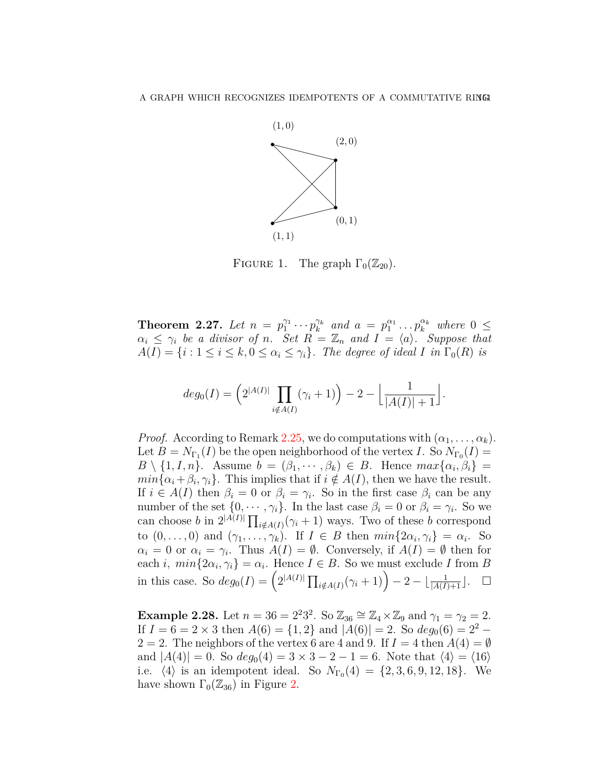

<span id="page-8-0"></span>FIGURE 1. The graph  $\Gamma_0(\mathbb{Z}_{20})$ .

**Theorem 2.27.** *Let*  $n = p_1^{\gamma_1} \cdots p_k^{\gamma_k}$  $a^{\gamma_k}$  *and*  $a = p_1^{\alpha_1} \dots p_k^{\alpha_k}$  *where*  $0 \leq$  $\alpha_i \leq \gamma_i$  *be a divisor of n. Set*  $R = \mathbb{Z}_n$  *and*  $I = \langle a \rangle$ *. Suppose that*  $A(I) = \{i : 1 \leq i \leq k, 0 \leq \alpha_i \leq \gamma_i\}$ *. The degree of ideal I in*  $\Gamma_0(R)$  *is* 

$$
deg_0(I) = \left(2^{|A(I)|} \prod_{i \notin A(I)} (\gamma_i + 1)\right) - 2 - \left\lfloor \frac{1}{|A(I)| + 1} \right\rfloor.
$$

*Proof.* According to Remark [2.25,](#page-7-0) we do computations with  $(\alpha_1, \ldots, \alpha_k)$ . Let  $B = N_{\Gamma_1}(I)$  be the open neighborhood of the vertex *I*. So  $N_{\Gamma_0}(I)$  =  $B \setminus \{1, I, n\}$ . Assume  $b = (\beta_1, \dots, \beta_k) \in B$ . Hence  $max\{\alpha_i, \beta_i\}$  $min\{\alpha_i + \beta_i, \gamma_i\}$ . This implies that if  $i \notin A(I)$ , then we have the result. If  $i \in A(I)$  then  $\beta_i = 0$  or  $\beta_i = \gamma_i$ . So in the first case  $\beta_i$  can be any number of the set  $\{0, \dots, \gamma_i\}$ . In the last case  $\beta_i = 0$  or  $\beta_i = \gamma_i$ . So we can choose *b* in  $2^{|A(I)|} \prod_{i \notin A(I)} (\gamma_i + 1)$  ways. Two of these *b* correspond to  $(0, \ldots, 0)$  and  $(\gamma_1, \ldots, \gamma_k)$ . If  $I \in B$  then  $min\{2\alpha_i, \gamma_i\} = \alpha_i$ . So  $\alpha_i = 0$  or  $\alpha_i = \gamma_i$ . Thus  $A(I) = \emptyset$ . Conversely, if  $A(I) = \emptyset$  then for each *i*,  $min\{2\alpha_i, \gamma_i\} = \alpha_i$ . Hence  $I \in B$ . So we must exclude *I* from *B* in this case. So  $deg_0(I) = (2^{|A(I)|} \prod_{i \notin A(I)} (\gamma_i + 1)) - 2 - \lfloor \frac{1}{|A(I)+1} \rfloor$ . □

**Example 2.28.** Let  $n = 36 = 2^2 3^2$ . So  $\mathbb{Z}_{36} \cong \mathbb{Z}_4 \times \mathbb{Z}_9$  and  $\gamma_1 = \gamma_2 = 2$ . If  $I = 6 = 2 \times 3$  then  $A(6) = \{1, 2\}$  and  $|A(6)| = 2$ . So  $deg_0(6) = 2^2$  −  $2 = 2$ . The neighbors of the vertex 6 are 4 and 9. If  $I = 4$  then  $A(4) = \emptyset$ and  $|A(4)| = 0$ . So  $deg_0(4) = 3 \times 3 - 2 - 1 = 6$ . Note that  $\langle 4 \rangle = \langle 16 \rangle$ i.e.  $\langle 4 \rangle$  is an idempotent ideal. So  $N_{\Gamma_0}(4) = \{2, 3, 6, 9, 12, 18\}$ . We have shown  $\Gamma_0(\mathbb{Z}_{36})$  in Figure [2](#page-9-0).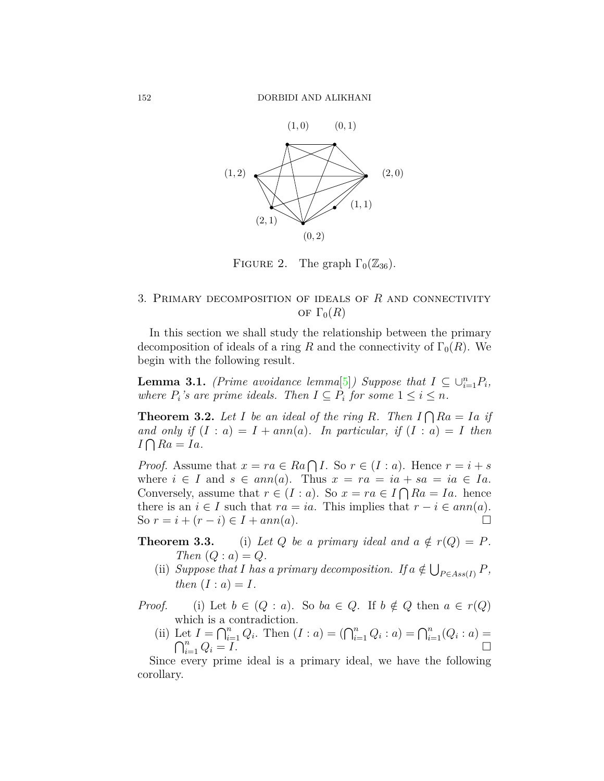

<span id="page-9-0"></span>FIGURE 2. The graph  $\Gamma_0(\mathbb{Z}_{36})$ .

# 3. Primary decomposition of ideals of *R* and connectivity OF  $\Gamma_0(R)$

In this section we shall study the relationship between the primary decomposition of ideals of a ring *R* and the connectivity of  $\Gamma_0(R)$ . We begin with the following result.

**Lemma 3.1.** *(Prime avoidance lemma*[\[5](#page-11-5)]*)* Suppose that  $I \subseteq \bigcup_{i=1}^{n} P_i$ , *where*  $P_i$ 's are prime ideals. Then  $I \subseteq P_i$  for some  $1 \leq i \leq n$ .

**Theorem 3.2.** *Let I be an ideal of the ring R. Then*  $I \bigcap R_a = I_a$  *if and only if*  $(I : a) = I + ann(a)$ *. In particular, if*  $(I : a) = I$  *then*  $I \bigcap Ra = Ia$ .

*Proof.* Assume that  $x = ra \in Ra \cap I$ . So  $r \in (I : a)$ . Hence  $r = i + s$ where  $i \in I$  and  $s \in ann(a)$ . Thus  $x = ra = ia + sa = ia \in Ia$ . Conversely, assume that  $r \in (I : a)$ . So  $x = ra \in I \cap Ra = Ia$ . hence there is an  $i \in I$  such that  $ra = ia$ . This implies that  $r - i \in ann(a)$ . So  $r = i + (r - i) \in I + ann(a)$ . □

- **Theorem 3.3.** (i) Let Q be a primary ideal and  $a \notin r(Q) = P$ . *Then*  $(Q : a) = Q$ *.* 
	- (ii) *Suppose that I* has a primary decomposition. If  $a \notin \bigcup_{P \in Ass(I)} P$ , *then*  $(I : a) = I$ *.*

*Proof.* (i) Let  $b \in (Q : a)$ . So  $ba \in Q$ . If  $b \notin Q$  then  $a \in r(Q)$ which is a contradiction.

(ii) Let  $I = \bigcap_{i=1}^{n} Q_i$ . Then  $(I : a) = (\bigcap_{i=1}^{n} Q_i : a) = \bigcap_{i=1}^{n} (Q_i : a) =$  $\bigcap_{i=1}^n Q_i = I.$  $\sum_{i=1}^{n} Q_i = I.$  □

Since every prime ideal is a primary ideal, we have the following corollary.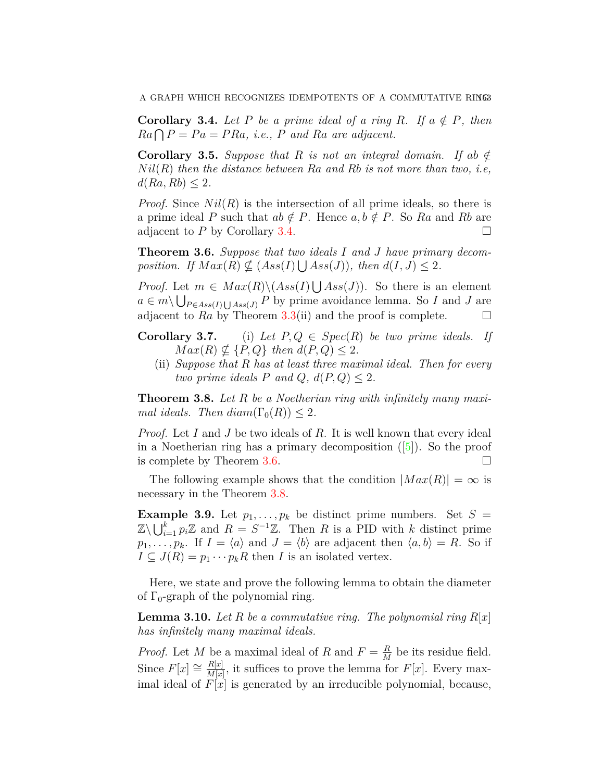<span id="page-10-0"></span>**Corollary 3.4.** Let P be a prime ideal of a ring R. If  $a \notin P$ , then  $Ra \bigcap P = Pa = PRa$ , *i.e.*, *P* and Ra are adjacent.

**Corollary 3.5.** *Suppose that R is not an integral domain.* If  $ab \notin$ *N il*(*R*) *then the distance between Ra and Rb is not more than two, i.e,*  $d(Ra, Rb) \leq 2$ .

*Proof.* Since  $Nil(R)$  is the intersection of all prime ideals, so there is a prime ideal *P* such that  $ab \notin P$ . Hence  $a, b \notin P$ . So  $Ra$  and  $Rb$  are adjacent to  $P$  by Corollary [3.4.](#page-10-0)  $\Box$ 

<span id="page-10-1"></span>**Theorem 3.6.** *Suppose that two ideals I and J have primary decomposition. If*  $Max(R) \nsubseteq (Ass(I) \cup Ass(J))$ *, then*  $d(I, J) \leq 2$ *.* 

*Proof.* Let  $m \in Max(R) \setminus (Ass(I) \cup Ass(J))$ . So there is an element  $a \in m \setminus \bigcup_{P \in Ass(I) \cup Ass(J)} P$  by prime avoidance lemma. So *I* and *J* are adjacent to *Ra* by Theorem 3.3(ii) and the proof is complete.  $\Box$ 

- **Corollary 3.7.** (i) Let  $P, Q \in Spec(R)$  be two prime ideals. If  $Max(R) \nsubseteq \{P, Q\}$  *then*  $d(P, Q) \leq 2$ *.* 
	- (ii) *Suppose that R has at least three maximal ideal. Then for every two prime ideals*  $P$  *and*  $Q$ *,*  $d(P, Q) \leq 2$ *.*

<span id="page-10-2"></span>**Theorem 3.8.** *Let R be a Noetherian ring with infinitely many maximal ideals.* Then  $diam(\Gamma_0(R)) \leq 2$ .

*Proof.* Let *I* and *J* be two ideals of *R*. It is well known that every ideal in a Noetherian ring has a primary decomposition  $([5])$  $([5])$  $([5])$ . So the proof is complete by Theorem [3.6](#page-10-1).  $\Box$ 

The following example shows that the condition  $|Max(R)| = \infty$  is necessary in the Theorem [3.8.](#page-10-2)

**Example 3.9.** Let  $p_1, \ldots, p_k$  be distinct prime numbers. Set  $S =$  $\mathbb{Z}\setminus\bigcup_{i=1}^k p_i\mathbb{Z}$  and  $R = S^{-1}\mathbb{Z}$ . Then *R* is a PID with *k* distinct prime *p*<sub>1</sub>*,..., p<sub>k</sub></sub>. If*  $I = \langle a \rangle$  *and*  $J = \langle b \rangle$  *are adjacent then*  $\langle a, b \rangle = R$ *. So if*  $I \subseteq J(R) = p_1 \cdots p_k R$  then *I* is an isolated vertex.

Here, we state and prove the following lemma to obtain the diameter of  $\Gamma_0$ -graph of the polynomial ring.

<span id="page-10-3"></span>**Lemma 3.10.** Let R be a commutative ring. The polynomial ring  $R[x]$ *has infinitely many maximal ideals.*

*Proof.* Let *M* be a maximal ideal of *R* and  $F = \frac{R}{M}$  $\frac{R}{M}$  be its residue field. Since  $F[x] \cong \frac{R[x]}{M[x]}$  $\frac{H[x]}{M[x]}$ , it suffices to prove the lemma for  $F[x]$ . Every maximal ideal of  $F[x]$  is generated by an irreducible polynomial, because,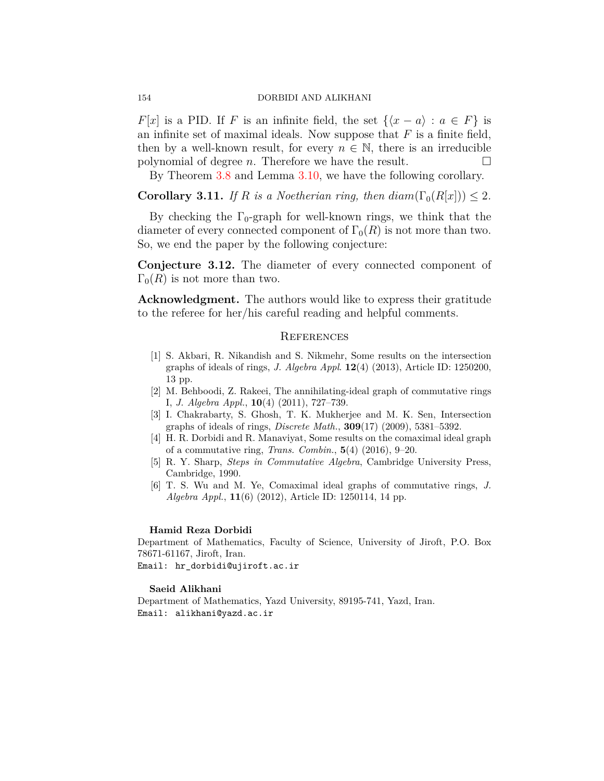#### 154 DORBIDI AND ALIKHANI

*F*[*x*] is a PID. If *F* is an infinite field, the set  $\{(x - a) : a \in F\}$  is an infinite set of maximal ideals. Now suppose that *F* is a finite field, then by a well-known result, for every  $n \in \mathbb{N}$ , there is an irreducible polynomial of degree *n*. Therefore we have the result.  $\Box$ 

By Theorem [3.8](#page-10-2) and Lemma [3.10](#page-10-3), we have the following corollary.

**Corollary 3.11.** *If R is a Noetherian ring, then*  $diam(\Gamma_0(R[x])) \leq 2$ .

By checking the  $\Gamma_0$ -graph for well-known rings, we think that the diameter of every connected component of  $\Gamma_0(R)$  is not more than two. So, we end the paper by the following conjecture:

**Conjecture 3.12.** The diameter of every connected component of  $\Gamma_0(R)$  is not more than two.

**Acknowledgment.** The authors would like to express their gratitude to the referee for her/his careful reading and helpful comments.

### **REFERENCES**

- <span id="page-11-1"></span>[1] S. Akbari, R. Nikandish and S. Nikmehr, Some results on the intersection graphs of ideals of rings, *J. Algebra Appl*. **12**(4) (2013), Article ID: 1250200, 13 pp.
- <span id="page-11-2"></span>[2] M. Behboodi, Z. Rakeei, The annihilating-ideal graph of commutative rings I, *J. Algebra Appl.*, **10**(4) (2011), 727–739.
- <span id="page-11-0"></span>[3] I. Chakrabarty, S. Ghosh, T. K. Mukherjee and M. K. Sen, Intersection graphs of ideals of rings, *Discrete Math.*, **309**(17) (2009), 5381–5392.
- <span id="page-11-4"></span>[4] H. R. Dorbidi and R. Manaviyat, Some results on the comaximal ideal graph of a commutative ring, *Trans. Combin.*, **5**(4) (2016), 9–20.
- <span id="page-11-5"></span>[5] R. Y. Sharp, *Steps in Commutative Algebra*, Cambridge University Press, Cambridge, 1990.
- <span id="page-11-3"></span>[6] T. S. Wu and M. Ye, Comaximal ideal graphs of commutative rings, *J. Algebra Appl.*, **11**(6) (2012), Article ID: 1250114, 14 pp.

#### **Hamid Reza Dorbidi**

Department of Mathematics, Faculty of Science, University of Jiroft, P.O. Box 78671-61167, Jiroft, Iran.

Email: hr\_dorbidi@ujiroft.ac.ir

#### **Saeid Alikhani**

Department of Mathematics, Yazd University, 89195-741, Yazd, Iran. Email: alikhani@yazd.ac.ir